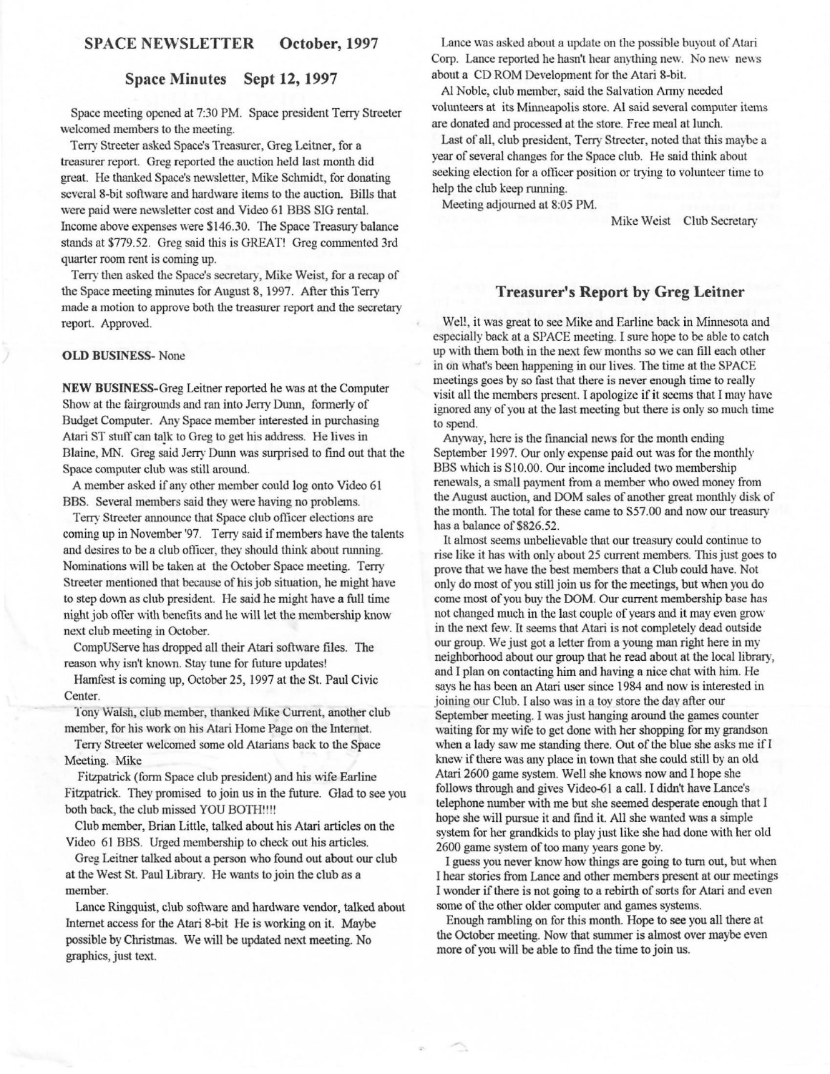### **SPACE NEWSLETTER October, 1997**

#### **Space Minutes Sept 12, 1997**

Space meeting opened at 7:30 PM. Space president Terry Streeter welcomed members to the meeting.

Terry Streeter asked Space's Treasurer, Greg Leitner, for a treasurer report. Greg reported the auction held last month did great. He thanked Space's newsletter, Mike Schmidt, for donating several 8-bit software and hardware items to the auction. Bills that were paid were newsletter cost and Video 61 BBS SIG rental. Income above expenses were \$146.30. The Space Treaswy balance stands at \$779.52. Greg said this is GREAT! Greg commented 3rd quarter room rent is coming up.

Terry then asked the Space's secretary, Mike Weist, for a recap of the Space meeting minutes for August 8, 1997. After this Terry made a motion to approve both the treasurer report and the secretary report. Approved.

#### **OLD BUSINESS-** None

**NEW** BUSINESS-Greg Leitner reported he was at the Computer Show at the fairgrounds and ran into Jerry Dunn, formerly of Budget Computer. Any Space member interested in purchasing Atari ST stuff can talk to Greg to get his address. He lives in Blaine, MN. Greg said Jerry Dunn was surprised to find out that the Space computer club was still around.

A member asked if any other member could log onto Video 61 BBS. Several members said they were having no problems.

Terry Streeter announce that Space club officer elections are coming up in November '97. Terry said if members have the talents and desires to be a club officer, they should think about running. Nominations will be taken at the October Space meeting. Terry Streeter mentioned that because of his job situation, he might have to step down as club president. He said he might have a full time night job offer with benefits and he will let the membership know next club meeting in October.

CompUServe has dropped all their Atari software files. The reason why isn't known. Stay tune for future updates!

Hamfest is coming up, October 25, 1997 at the St. Paul Civic Center.

Tony Walsh, club member, thanked Mike Current, another club member, for his work on his Atari Home Page on the Internet.

Terry Streeter welcomed some old Atarians back to the Space Meeting. Mike

Fitzpatrick (form Space club president) and his wife Earline Fitzpatrick. They promised to join us in the future. Glad to see you both back, the club missed YOU BOTH!!!!

Club member, Brian Little, talked about his Atari articles on the Video 61 BBS. Urged membership to check out his articles.

Greg Leitner talked about a person who found out about our club at the West St. Paul Library. He wants to join the club as a member.

Lance Ringquist, club software and hardware vendor, talked about Internet access for the Atari 8-bit He is working on it. Maybe possible by Christmas. We will be updated next meeting. No graphics, just text.

Lance was asked about a update on the possible buyout of Atari Corp. Lance reported he hasn't hear anything new. No new news about a CD ROM Development for the Atari 8-bit.

Al Noble, club member, said the Salvation Army needed volunteers at its Minneapolis store. Al said several computer items are donated and processed at the store. Free meal at lunch.

Last of all, club president, Terry Streeter, noted that this maybe a year of several changes for the Space club. He said think about seeking election for a officer position or trying to volunteer time to help the club keep running.

Meeting adjourned at 8:05 PM.

Mike Weist Club Secretary

#### **Treasurer's Report by Greg Leitner**

Wel!, it was great to see Mike and Earline back in Minnesota and especially back at a SPACE meeting. I sure hope to be able to catch up with them both in the next few months so we can fill each other in on what's been happening in our lives. The time at the SPACE meetings goes by so fast that there is never enough time to really visit all the members present. I apologize if it seems that I may have ignored any of you at the last meeting but there is only so much time to spend.

Anyway, here is the fmancial news for the month ending September 1997. Our only expense paid out was for the monthly BBS which is Sl0.00. Our income included two membership renewals, a small payment from a member who owed money from the August auction, and DOM sales of another great monthly disk of the month. The total for these came to S57.00 and now our treasury has a balance of \$826.52.

It almost seems unbelievable that our treasury could continue to rise like it has with only about 25 current members. This just goes to prove that we have the best members that a Club could have. Not only do most of you still join us for the meetings, but when you do come most of you buy the DOM. Our current membership base has not changed much in the last couple of years and it may even grow in the next few. It seems that Atari is not completely dead outside our group. We just got a letter from a young man right here in my neighborhood about our group that he read about at the local library, and I plan on contacting him and having a nice chat with him. He says he has been an Atari user since 1 984 and now is interested in joining our Club. I also was in a toy store the day after our September meeting. I was just hanging around the games counter waiting for my wife to get done with her shopping for my grandson when a lady saw me standing there. Out of the blue she asks me if I knew if there was any place in town that she could still by an old Atari 2600 game system. Well she knows now and I hope she follows through and gives Video-61 a call. I didn't have Lance's telephone number with me but she seemed desperate enough that I hope she will pursue it and find it. All she wanted was a simple system for her grandkids to play just like she had done with her old 2600 game system of too many years gone by.

I guess you never know how things are going to tum out, but when I hear stories from Lance and other members present at our meetings I wonder if there is not going to a rebirth of sorts for Atari and even some of the other older computer and games systems.

Enough rambling on for this month. Hope to see you all there at the October meeting. Now that summer is almost over maybe even more of you will be able to find the time to join us.